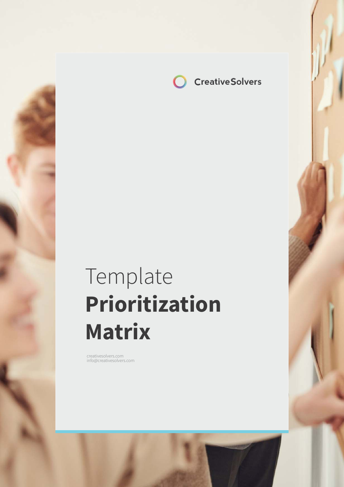**CreativeSolvers**

# Template **Prioritization Matrix**

creatives of the interest of the interest of the interest of the interest of the interest of the interest of the interest of the interest of the interest of the interest of the interest of the interest of the interest of t

creativesolvers.com info@creativesolvers.com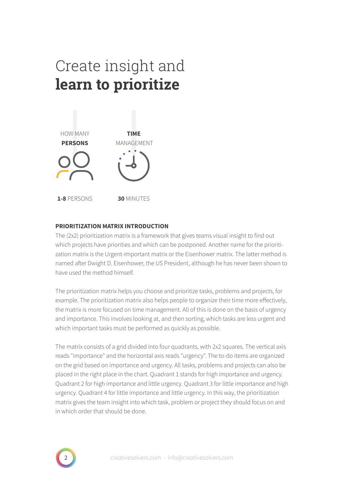## Create insight and **learn to prioritize**



### **PRIORITIZATION MATRIX INTRODUCTION**

The (2x2) prioritization matrix is a framework that gives teams visual insight to find out which projects have priorities and which can be postponed. Another name for the prioritization matrix is the Urgent-Important matrix or the Eisenhower matrix. The latter method is named after Dwight D. Eisenhower, the US President, although he has never been shown to have used the method himself.

The prioritization matrix helps you choose and prioritize tasks, problems and projects, for example. The prioritization matrix also helps people to organize their time more effectively, the matrix is more focused on time management. All of this is done on the basis of urgency and importance. This involves looking at, and then sorting, which tasks are less urgent and which important tasks must be performed as quickly as possible.

The matrix consists of a grid divided into four quadrants, with 2x2 squares. The vertical axis reads "importance" and the horizontal axis reads "urgency". The to-do items are organized on the grid based on importance and urgency. All tasks, problems and projects can also be placed in the right place in the chart. Quadrant 1 stands for high importance and urgency. Quadrant 2 for high importance and little urgency. Quadrant 3 for little importance and high urgency. Quadrant 4 for little importance and little urgency. In this way, the prioritization matrix gives the team insight into which task, problem or project they should focus on and in which order that should be done.

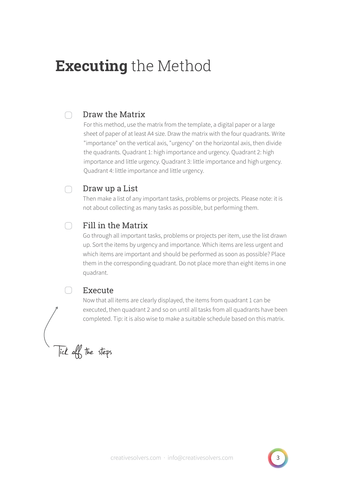## **Executing** the Method

#### Draw the Matrix ∩

For this method, use the matrix from the template, a digital paper or a large sheet of paper of at least A4 size. Draw the matrix with the four quadrants. Write "importance" on the vertical axis, "urgency" on the horizontal axis, then divide the quadrants. Quadrant 1: high importance and urgency. Quadrant 2: high importance and little urgency. Quadrant 3: little importance and high urgency. Quadrant 4: little importance and little urgency.

#### Draw up a List ∩

Then make a list of any important tasks, problems or projects. Please note: it is not about collecting as many tasks as possible, but performing them.

#### Fill in the Matrix  $\cap$

Go through all important tasks, problems or projects per item, use the list drawn up. Sort the items by urgency and importance. Which items are less urgent and which items are important and should be performed as soon as possible? Place them in the corresponding quadrant. Do not place more than eight items in one quadrant.

### Execute

Now that all items are clearly displayed, the items from quadrant 1 can be executed, then quadrant 2 and so on until all tasks from all quadrants have been completed. Tip: it is also wise to make a suitable schedule based on this matrix.

Tick off the steps